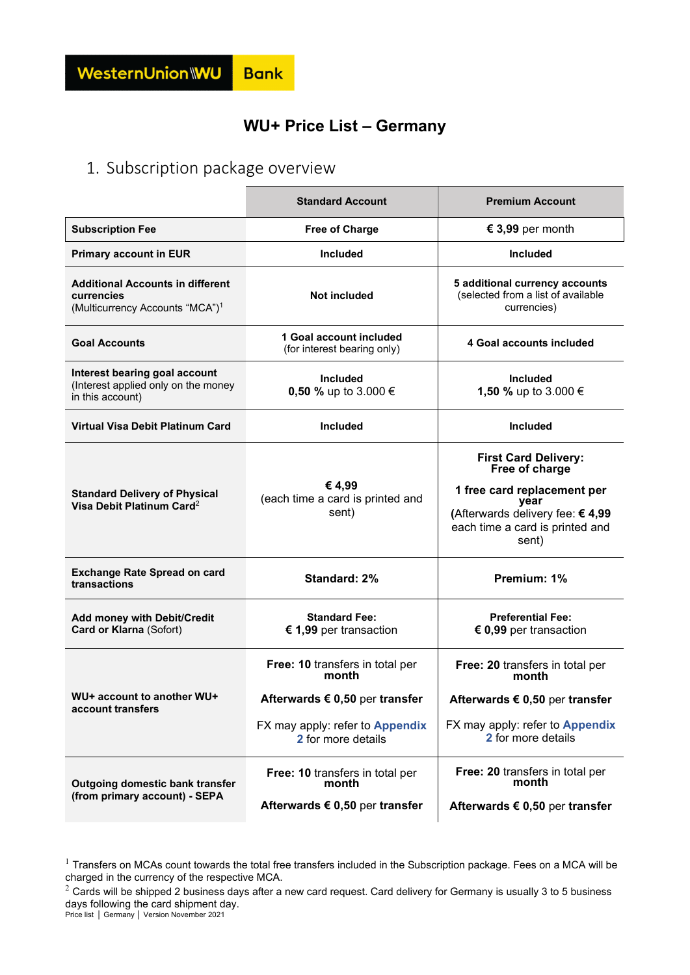#### **WU+ Price List – Germany**

### 1. Subscription package overview

|                                                                                                      | <b>Standard Account</b>                                                                                                                      | <b>Premium Account</b>                                                                                                                                              |
|------------------------------------------------------------------------------------------------------|----------------------------------------------------------------------------------------------------------------------------------------------|---------------------------------------------------------------------------------------------------------------------------------------------------------------------|
| <b>Subscription Fee</b>                                                                              | <b>Free of Charge</b>                                                                                                                        | € 3,99 per month                                                                                                                                                    |
| <b>Primary account in EUR</b>                                                                        | <b>Included</b>                                                                                                                              | <b>Included</b>                                                                                                                                                     |
| <b>Additional Accounts in different</b><br>currencies<br>(Multicurrency Accounts "MCA") <sup>1</sup> | <b>Not included</b>                                                                                                                          | 5 additional currency accounts<br>(selected from a list of available<br>currencies)                                                                                 |
| <b>Goal Accounts</b>                                                                                 | 1 Goal account included<br>(for interest bearing only)                                                                                       | 4 Goal accounts included                                                                                                                                            |
| Interest bearing goal account<br>(Interest applied only on the money<br>in this account)             | Included<br>0,50 % up to 3.000 €                                                                                                             | <b>Included</b><br>1,50 % up to 3.000 €                                                                                                                             |
| <b>Virtual Visa Debit Platinum Card</b>                                                              | <b>Included</b>                                                                                                                              | <b>Included</b>                                                                                                                                                     |
| <b>Standard Delivery of Physical</b><br>Visa Debit Platinum Card <sup>2</sup>                        | € 4,99<br>(each time a card is printed and<br>sent)                                                                                          | <b>First Card Delivery:</b><br>Free of charge<br>1 free card replacement per<br>year<br>(Afterwards delivery fee: €4,99<br>each time a card is printed and<br>sent) |
| <b>Exchange Rate Spread on card</b><br>transactions                                                  | Standard: 2%                                                                                                                                 | Premium: 1%                                                                                                                                                         |
| Add money with Debit/Credit<br>Card or Klarna (Sofort)                                               | <b>Standard Fee:</b><br>€ 1,99 per transaction                                                                                               | <b>Preferential Fee:</b><br>$\epsilon$ 0,99 per transaction                                                                                                         |
| WU+ account to another WU+<br>account transfers                                                      | Free: 10 transfers in total per<br>month<br>Afterwards $\epsilon$ 0,50 per transfer<br>FX may apply: refer to Appendix<br>2 for more details | Free: 20 transfers in total per<br>month<br>Afterwards $\epsilon$ 0,50 per transfer<br>FX may apply: refer to Appendix<br>2 for more details                        |
| Outgoing domestic bank transfer<br>(from primary account) - SEPA                                     | Free: 10 transfers in total per<br>month<br>Afterwards $\epsilon$ 0,50 per transfer                                                          | Free: 20 transfers in total per<br>month<br>Afterwards $\epsilon$ 0,50 per transfer                                                                                 |

 $^1$  Transfers on MCAs count towards the total free transfers included in the Subscription package. Fees on a MCA will be charged in the currency of the respective MCA.

days following the card shipment day.<br>Price list │ Germany │ Version November 2021  $^2$  Cards will be shipped 2 business days after a new card request. Card delivery for Germany is usually 3 to 5 business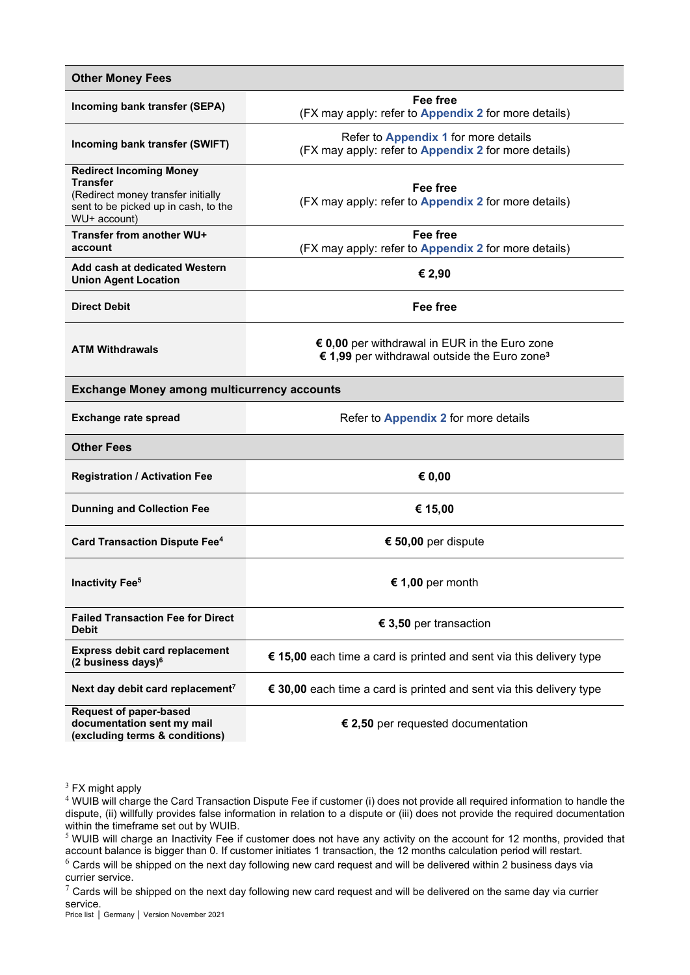| <b>Other Money Fees</b>                                                                                                                         |                                                                                                           |
|-------------------------------------------------------------------------------------------------------------------------------------------------|-----------------------------------------------------------------------------------------------------------|
| Incoming bank transfer (SEPA)                                                                                                                   | <b>Fee free</b><br>(FX may apply: refer to <b>Appendix 2</b> for more details)                            |
| Incoming bank transfer (SWIFT)                                                                                                                  | Refer to Appendix 1 for more details<br>(FX may apply: refer to <b>Appendix 2</b> for more details)       |
| <b>Redirect Incoming Money</b><br><b>Transfer</b><br>(Redirect money transfer initially<br>sent to be picked up in cash, to the<br>WU+ account) | Fee free<br>(FX may apply: refer to <b>Appendix 2</b> for more details)                                   |
| Transfer from another WU+<br>account                                                                                                            | Fee free<br>(FX may apply: refer to <b>Appendix 2</b> for more details)                                   |
| Add cash at dedicated Western<br><b>Union Agent Location</b>                                                                                    | € 2,90                                                                                                    |
| <b>Direct Debit</b>                                                                                                                             | <b>Fee free</b>                                                                                           |
| <b>ATM Withdrawals</b>                                                                                                                          | € 0,00 per withdrawal in EUR in the Euro zone<br>€ 1,99 per withdrawal outside the Euro zone <sup>3</sup> |
| <b>Exchange Money among multicurrency accounts</b>                                                                                              |                                                                                                           |
| <b>Exchange rate spread</b>                                                                                                                     | Refer to Appendix 2 for more details                                                                      |
| <b>Other Fees</b>                                                                                                                               |                                                                                                           |
| <b>Registration / Activation Fee</b>                                                                                                            | € $0,00$                                                                                                  |
| <b>Dunning and Collection Fee</b>                                                                                                               | € 15,00                                                                                                   |
| <b>Card Transaction Dispute Fee4</b>                                                                                                            | € 50,00 per dispute                                                                                       |
| <b>Inactivity Fee<sup>5</sup></b>                                                                                                               | € 1,00 per month                                                                                          |
| <b>Failed Transaction Fee for Direct</b><br>Debit                                                                                               | € 3,50 per transaction                                                                                    |
| <b>Express debit card replacement</b><br>(2 business days) <sup>6</sup>                                                                         | € 15,00 each time a card is printed and sent via this delivery type                                       |
| Next day debit card replacement <sup>7</sup>                                                                                                    | € 30,00 each time a card is printed and sent via this delivery type                                       |
| <b>Request of paper-based</b><br>documentation sent my mail<br>(excluding terms & conditions)                                                   | € 2,50 per requested documentation                                                                        |

 $3$  FX might apply

<sup>4</sup> WUIB will charge the Card Transaction Dispute Fee if customer (i) does not provide all required information to handle the dispute, (ii) willfully provides false information in relation to a dispute or (iii) does not provide the required documentation within the timeframe set out by WUIB.

<sup>5</sup> WUIB will charge an Inactivity Fee if customer does not have any activity on the account for 12 months, provided that account balance is bigger than 0. If customer initiates 1 transaction, the 12 months calculation period will restart.

 $6$  Cards will be shipped on the next day following new card request and will be delivered within 2 business days via currier service.

 $\frac{7}{1}$  Cards will be shipped on the next day following new card request and will be delivered on the same day via currier

S<mark>ervice.</mark><br>Price list │ Germany │ Version November 2021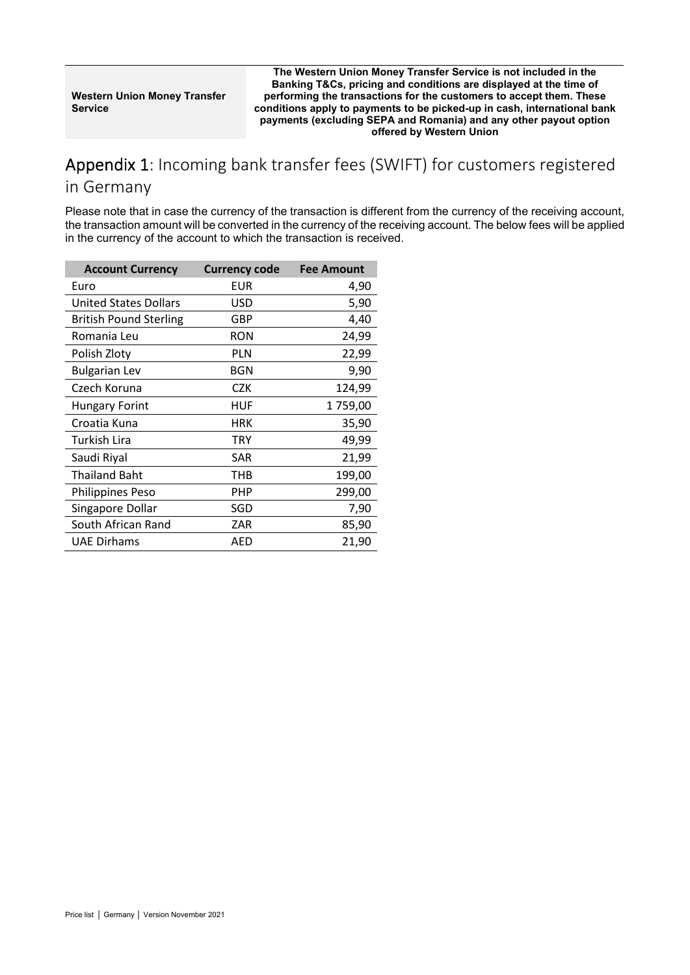**The Western Union Money Transfer Service is not included in the Banking T&Cs, pricing and conditions are displayed at the time of performing the transactions for the customers to accept them. These conditions apply to payments to be picked-up in cash, international bank payments (excluding SEPA and Romania) and any other payout option offered by Western Union**

## <span id="page-2-0"></span>Appendix 1: Incoming bank transfer fees (SWIFT) for customers registered

#### in Germany

Please note that in case the currency of the transaction is different from the currency of the receiving account, the transaction amount will be converted in the currency of the receiving account. The below fees will be applied in the currency of the account to which the transaction is received.

| <b>Account Currency</b>       | <b>Currency code</b> | <b>Fee Amount</b> |
|-------------------------------|----------------------|-------------------|
| Euro                          | EUR                  | 4,90              |
| <b>United States Dollars</b>  | USD                  | 5,90              |
| <b>British Pound Sterling</b> | GBP                  | 4,40              |
| Romania Leu                   | <b>RON</b>           | 24,99             |
| Polish Zloty                  | <b>PLN</b>           | 22,99             |
| <b>Bulgarian Lev</b>          | <b>BGN</b>           | 9,90              |
| Czech Koruna                  | <b>CZK</b>           | 124,99            |
| <b>Hungary Forint</b>         | HUF                  | 1759,00           |
| Croatia Kuna                  | <b>HRK</b>           | 35,90             |
| <b>Turkish Lira</b>           | <b>TRY</b>           | 49,99             |
| Saudi Riyal                   | SAR                  | 21,99             |
| <b>Thailand Baht</b>          | THB                  | 199,00            |
| <b>Philippines Peso</b>       | PHP                  | 299,00            |
| Singapore Dollar              | SGD                  | 7,90              |
| South African Rand            | ZAR                  | 85,90             |
| <b>UAE Dirhams</b>            | AED                  | 21,90             |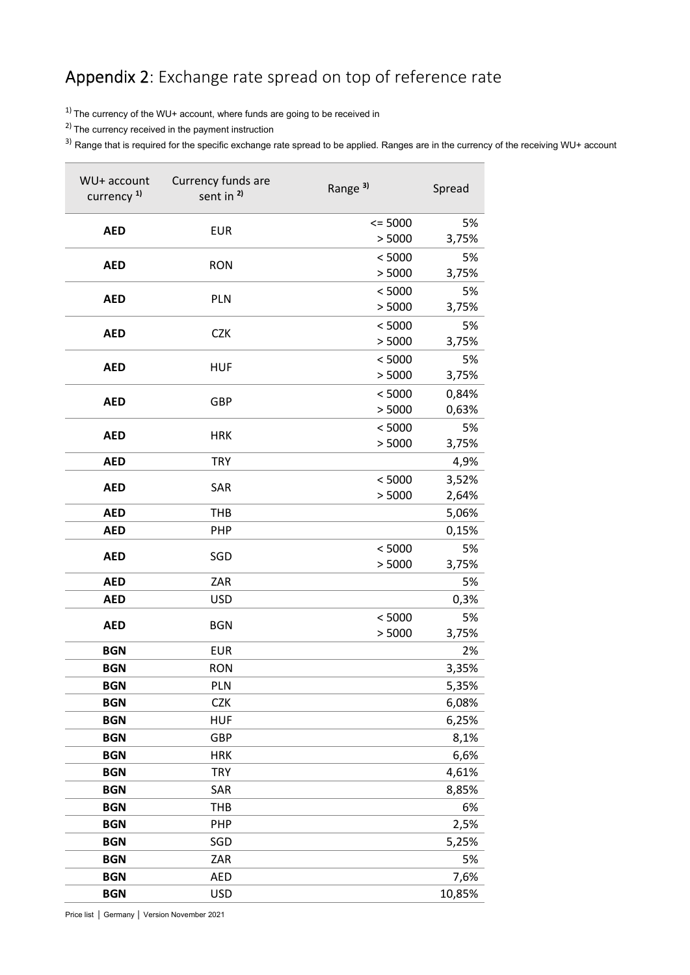# <span id="page-3-0"></span>Appendix 2: Exchange rate spread on top of reference rate

 $1)$  The currency of the WU+ account, where funds are going to be received in

2) The currency received in the payment instruction

<sup>3)</sup> Range that is required for the specific exchange rate spread to be applied. Ranges are in the currency of the receiving WU+ account

| WU+ account<br>currency <sup>1)</sup> | Currency funds are<br>sent in <sup>2)</sup> | Range <sup>3)</sup> | Spread      |
|---------------------------------------|---------------------------------------------|---------------------|-------------|
| <b>AED</b>                            | <b>EUR</b>                                  | $= 5000$            | 5%          |
|                                       |                                             | > 5000              | 3,75%       |
| <b>AED</b>                            | <b>RON</b>                                  | < 5000              | 5%          |
|                                       |                                             | > 5000              | 3,75%       |
| <b>AED</b>                            | PLN                                         | < 5000              | 5%          |
|                                       |                                             | > 5000              | 3,75%       |
| <b>AED</b>                            | <b>CZK</b>                                  | < 5000<br>> 5000    | 5%<br>3,75% |
|                                       |                                             | < 5000              | 5%          |
| <b>AED</b>                            | <b>HUF</b>                                  | > 5000              | 3,75%       |
|                                       |                                             | < 5000              | 0,84%       |
| <b>AED</b>                            | GBP                                         | > 5000              | 0,63%       |
|                                       |                                             | < 5000              | 5%          |
| <b>AED</b>                            | <b>HRK</b>                                  | > 5000              | 3,75%       |
| <b>AED</b>                            | <b>TRY</b>                                  |                     | 4,9%        |
| <b>AED</b>                            | SAR                                         | < 5000              | 3,52%       |
|                                       |                                             | > 5000              | 2,64%       |
| <b>AED</b>                            | <b>THB</b>                                  |                     | 5,06%       |
| <b>AED</b>                            | PHP                                         |                     | 0,15%       |
| <b>AED</b>                            | SGD                                         | < 5000              | 5%          |
|                                       |                                             | > 5000              | 3,75%       |
| <b>AED</b>                            | ZAR                                         |                     | 5%          |
| <b>AED</b>                            | <b>USD</b>                                  |                     | 0,3%        |
| <b>AED</b>                            | <b>BGN</b>                                  | < 5000<br>> 5000    | 5%<br>3,75% |
| <b>BGN</b>                            | <b>EUR</b>                                  |                     | 2%          |
| <b>BGN</b>                            | <b>RON</b>                                  |                     | 3,35%       |
| <b>BGN</b>                            | <b>PLN</b>                                  |                     | 5,35%       |
| <b>BGN</b>                            | <b>CZK</b>                                  |                     | 6,08%       |
| <b>BGN</b>                            | <b>HUF</b>                                  |                     | 6,25%       |
| <b>BGN</b>                            | GBP                                         |                     | 8,1%        |
| <b>BGN</b>                            | <b>HRK</b>                                  |                     | 6,6%        |
| <b>BGN</b>                            | <b>TRY</b>                                  |                     | 4,61%       |
| <b>BGN</b>                            | SAR                                         |                     | 8,85%       |
| <b>BGN</b>                            | <b>THB</b>                                  |                     | 6%          |
| <b>BGN</b>                            | PHP                                         |                     | 2,5%        |
| <b>BGN</b>                            | SGD                                         |                     | 5,25%       |
| <b>BGN</b>                            | ZAR                                         |                     | 5%          |
| <b>BGN</b>                            | <b>AED</b>                                  |                     | 7,6%        |
| <b>BGN</b>                            | <b>USD</b>                                  |                     | 10,85%      |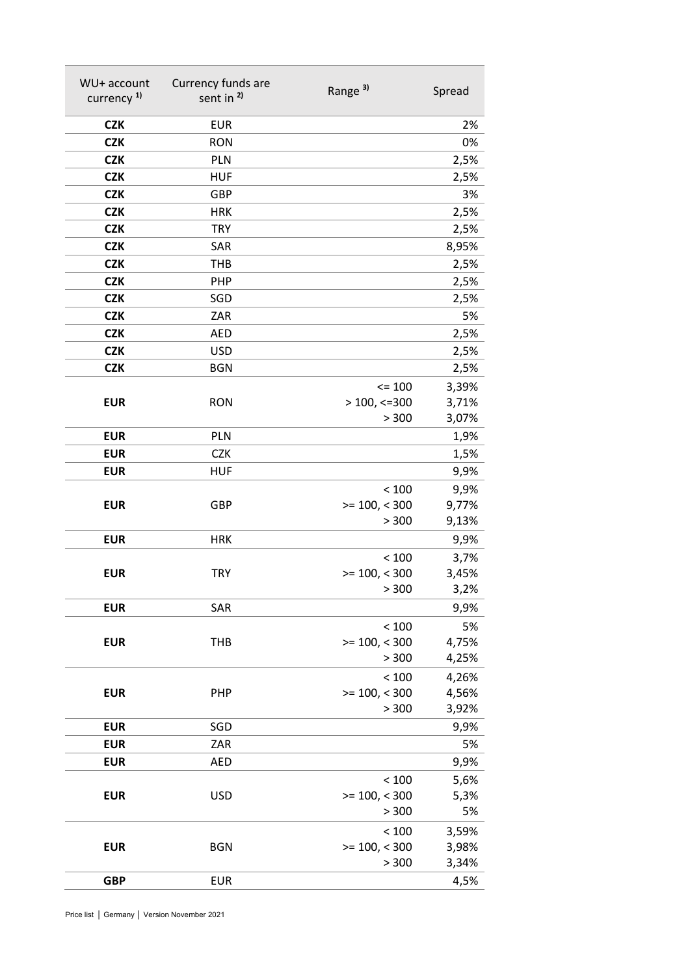| WU+ account            | Currency funds are    | Range <sup>3)</sup>      | Spread      |
|------------------------|-----------------------|--------------------------|-------------|
| currency <sup>1)</sup> | sent in <sup>2)</sup> |                          |             |
| <b>CZK</b>             | <b>EUR</b>            |                          | 2%          |
| <b>CZK</b>             | <b>RON</b>            |                          | 0%          |
| <b>CZK</b>             | <b>PLN</b>            |                          | 2,5%        |
| <b>CZK</b>             | <b>HUF</b>            |                          | 2,5%        |
| <b>CZK</b>             | GBP                   |                          | 3%          |
| <b>CZK</b>             | <b>HRK</b>            |                          | 2,5%        |
| <b>CZK</b>             | <b>TRY</b>            |                          | 2,5%        |
| <b>CZK</b>             | SAR                   |                          | 8,95%       |
| <b>CZK</b>             | <b>THB</b>            |                          | 2,5%        |
| <b>CZK</b>             | PHP                   |                          | 2,5%        |
| <b>CZK</b>             | SGD                   |                          | 2,5%        |
| <b>CZK</b>             | ZAR                   |                          | 5%          |
| <b>CZK</b>             | <b>AED</b>            |                          | 2,5%        |
| <b>CZK</b>             | <b>USD</b>            |                          | 2,5%        |
| <b>CZK</b>             | <b>BGN</b>            |                          | 2,5%        |
|                        |                       | $= 100$                  | 3,39%       |
| <b>EUR</b>             | <b>RON</b>            | $>$ 100, <= 300          | 3,71%       |
|                        |                       | > 300                    | 3,07%       |
| <b>EUR</b>             | PLN                   |                          | 1,9%        |
| <b>EUR</b>             | <b>CZK</b>            |                          | 1,5%        |
| <b>EUR</b>             | <b>HUF</b>            |                          | 9,9%        |
|                        |                       | < 100                    | 9,9%        |
| <b>EUR</b>             | GBP                   | $>= 100, < 300$          | 9,77%       |
|                        |                       | > 300                    | 9,13%       |
| <b>EUR</b>             | <b>HRK</b>            |                          | 9,9%        |
|                        |                       | < 100                    | 3,7%        |
| <b>EUR</b>             | <b>TRY</b>            | $>= 100, < 300$<br>> 300 | 3,45%       |
|                        |                       |                          | 3,2%        |
| <b>EUR</b>             | SAR                   |                          | 9,9%        |
| <b>EUR</b>             | <b>THB</b>            | < 100<br>$>= 100, < 300$ | 5%<br>4,75% |
|                        |                       | > 300                    | 4,25%       |
|                        |                       | < 100                    | 4,26%       |
| <b>EUR</b>             | PHP                   | $>= 100, < 300$          | 4,56%       |
|                        |                       | > 300                    | 3,92%       |
| <b>EUR</b>             | SGD                   |                          | 9,9%        |
| <b>EUR</b>             | ZAR                   |                          | 5%          |
| <b>EUR</b>             | <b>AED</b>            |                          | 9,9%        |
|                        |                       | < 100                    | 5,6%        |
| <b>EUR</b>             | <b>USD</b>            | $>= 100, < 300$          | 5,3%        |
|                        |                       | > 300                    | 5%          |
|                        |                       | < 100                    | 3,59%       |
| <b>EUR</b>             | <b>BGN</b>            | $>= 100, < 300$          | 3,98%       |
|                        |                       | > 300                    | 3,34%       |
| <b>GBP</b>             | <b>EUR</b>            |                          | 4,5%        |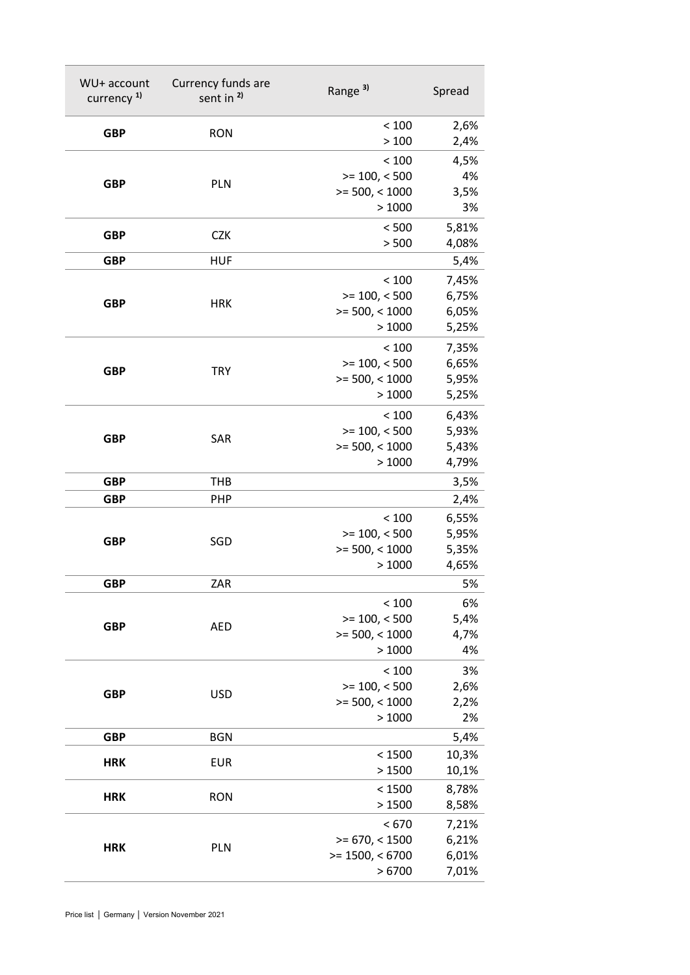| WU+ account<br>currency <sup>1)</sup> | Currency funds are<br>sent in <sup>2)</sup> | Range <sup>3)</sup>                                     | Spread                           |
|---------------------------------------|---------------------------------------------|---------------------------------------------------------|----------------------------------|
| <b>GBP</b>                            | <b>RON</b>                                  | < 100<br>>100                                           | 2,6%<br>2,4%                     |
| <b>GBP</b>                            | PLN                                         | < 100<br>$>= 100, < 500$<br>$>= 500, < 1000$<br>>1000   | 4,5%<br>4%<br>3,5%<br>3%         |
| <b>GBP</b>                            | <b>CZK</b>                                  | < 500<br>> 500                                          | 5,81%<br>4,08%                   |
| <b>GBP</b>                            | <b>HUF</b>                                  |                                                         | 5,4%                             |
| <b>GBP</b>                            | <b>HRK</b>                                  | < 100<br>$>= 100, < 500$<br>$>= 500, < 1000$<br>>1000   | 7,45%<br>6,75%<br>6,05%<br>5,25% |
| <b>GBP</b>                            | <b>TRY</b>                                  | < 100<br>$>= 100, < 500$<br>$>= 500, < 1000$<br>>1000   | 7,35%<br>6,65%<br>5,95%<br>5,25% |
| <b>GBP</b>                            | SAR                                         | < 100<br>$>= 100, < 500$<br>$>= 500, < 1000$<br>>1000   | 6,43%<br>5,93%<br>5,43%<br>4,79% |
| <b>GBP</b>                            | <b>THB</b>                                  |                                                         | 3,5%                             |
| <b>GBP</b>                            | <b>PHP</b>                                  |                                                         | 2,4%                             |
| <b>GBP</b>                            | SGD                                         | < 100<br>$>= 100, < 500$<br>$>= 500, < 1000$<br>>1000   | 6,55%<br>5,95%<br>5,35%<br>4,65% |
| <b>GBP</b>                            | ZAR                                         |                                                         | 5%                               |
| <b>GBP</b>                            | <b>AED</b>                                  | < 100<br>$>= 100, < 500$<br>$>= 500, < 1000$<br>>1000   | 6%<br>5,4%<br>4,7%<br>4%         |
| <b>GBP</b>                            | <b>USD</b>                                  | < 100<br>$>= 100, < 500$<br>$>= 500, < 1000$<br>>1000   | 3%<br>2,6%<br>2,2%<br>2%         |
| <b>GBP</b>                            | <b>BGN</b>                                  |                                                         | 5,4%                             |
| <b>HRK</b>                            | <b>EUR</b>                                  | < 1500<br>>1500                                         | 10,3%<br>10,1%                   |
| <b>HRK</b>                            | <b>RON</b>                                  | < 1500<br>>1500                                         | 8,78%<br>8,58%                   |
| <b>HRK</b>                            | PLN                                         | < 670<br>$>= 670, < 1500$<br>$>= 1500, < 6700$<br>>6700 | 7,21%<br>6,21%<br>6,01%<br>7,01% |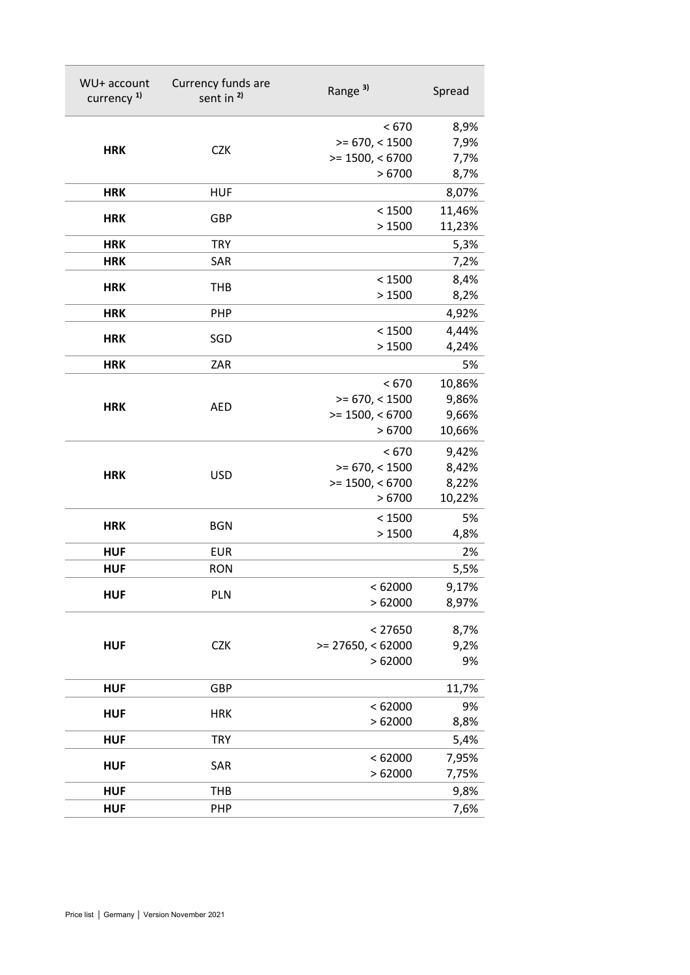| WU+ account<br>currency <sup>1)</sup> | Currency funds are<br>sent in <sup>2)</sup> | Range <sup>3)</sup>        | Spread          |
|---------------------------------------|---------------------------------------------|----------------------------|-----------------|
|                                       |                                             | < 670                      | 8,9%            |
| <b>HRK</b>                            | <b>CZK</b>                                  | $>= 670, < 1500$           | 7,9%            |
|                                       |                                             | $>= 1500, < 6700$          | 7,7%            |
|                                       |                                             | >6700                      | 8,7%            |
| <b>HRK</b>                            | <b>HUF</b>                                  |                            | 8,07%           |
| <b>HRK</b>                            | GBP                                         | < 1500                     | 11,46%          |
|                                       |                                             | >1500                      | 11,23%          |
| <b>HRK</b>                            | <b>TRY</b>                                  |                            | 5,3%            |
| <b>HRK</b>                            | SAR                                         |                            | 7,2%            |
| <b>HRK</b>                            | <b>THB</b>                                  | < 1500                     | 8,4%            |
|                                       |                                             | >1500                      | 8,2%            |
| <b>HRK</b>                            | PHP                                         |                            | 4,92%           |
| <b>HRK</b>                            | SGD                                         | < 1500                     | 4,44%           |
|                                       |                                             | >1500                      | 4,24%           |
| <b>HRK</b>                            | ZAR                                         |                            | 5%              |
|                                       |                                             | < 670                      | 10,86%          |
| <b>HRK</b>                            | <b>AED</b>                                  | $>= 670, < 1500$           | 9,86%           |
|                                       |                                             | $>= 1500, < 6700$<br>>6700 | 9,66%           |
|                                       |                                             |                            | 10,66%          |
|                                       |                                             | < 670                      | 9,42%           |
| <b>HRK</b>                            | <b>USD</b>                                  | $>= 670, < 1500$           | 8,42%           |
|                                       |                                             | $>= 1500, < 6700$<br>>6700 | 8,22%<br>10,22% |
|                                       |                                             |                            |                 |
| <b>HRK</b>                            | <b>BGN</b>                                  | < 1500<br>>1500            | 5%              |
| <b>HUF</b>                            | <b>EUR</b>                                  |                            | 4,8%<br>2%      |
| <b>HUF</b>                            | <b>RON</b>                                  |                            |                 |
|                                       |                                             |                            | 5,5%            |
| <b>HUF</b>                            | PLN                                         | < 62000<br>>62000          | 9,17%<br>8,97%  |
|                                       |                                             |                            |                 |
|                                       |                                             | < 27650                    | 8,7%            |
| <b>HUF</b>                            | <b>CZK</b>                                  | $>= 27650, < 62000$        | 9,2%            |
|                                       |                                             | >62000                     | 9%              |
| <b>HUF</b>                            | GBP                                         |                            | 11,7%           |
|                                       |                                             | < 62000                    | 9%              |
| <b>HUF</b>                            | <b>HRK</b>                                  | >62000                     | 8,8%            |
| <b>HUF</b>                            | <b>TRY</b>                                  |                            | 5,4%            |
|                                       |                                             | < 62000                    | 7,95%           |
| <b>HUF</b>                            | SAR                                         | >62000                     | 7,75%           |
| <b>HUF</b>                            | THB                                         |                            | 9,8%            |
| <b>HUF</b>                            | PHP                                         |                            | 7,6%            |
|                                       |                                             |                            |                 |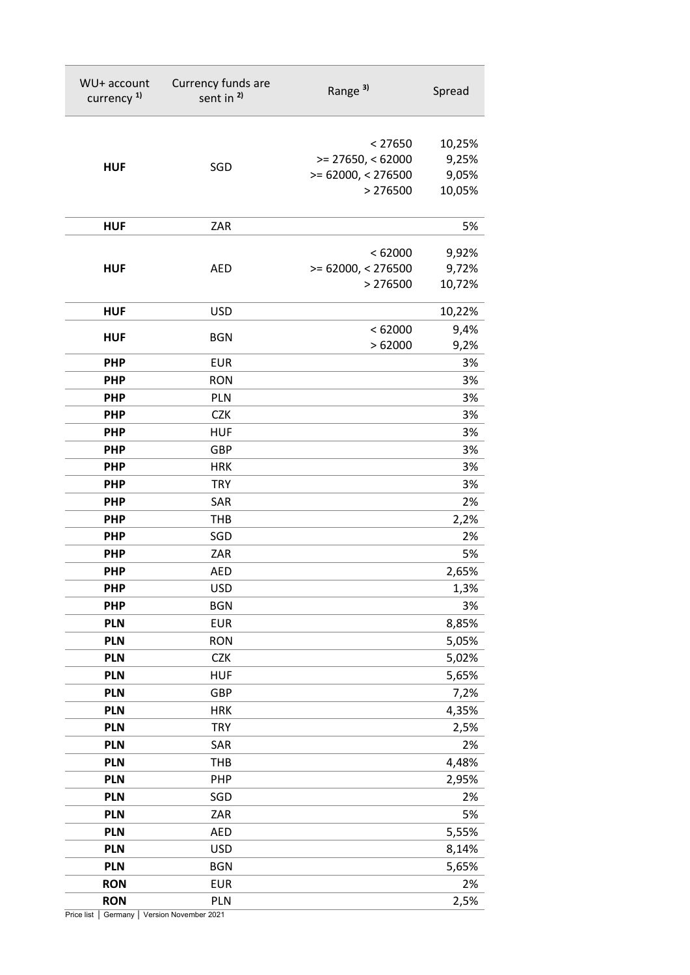| WU+ account<br>currency <sup>1)</sup> | Currency funds are<br>sent in <sup>2)</sup> | Range <sup>3)</sup>  | Spread |
|---------------------------------------|---------------------------------------------|----------------------|--------|
|                                       |                                             | < 27650              | 10,25% |
|                                       |                                             | $>= 27650, < 62000$  | 9,25%  |
| <b>HUF</b>                            | SGD                                         | $>= 62000, < 276500$ | 9,05%  |
|                                       |                                             | > 276500             | 10,05% |
| <b>HUF</b>                            | ZAR                                         |                      | 5%     |
|                                       |                                             | < 62000              | 9,92%  |
| <b>HUF</b>                            | <b>AED</b>                                  | $>= 62000, < 276500$ | 9,72%  |
|                                       |                                             | > 276500             | 10,72% |
| <b>HUF</b>                            | <b>USD</b>                                  |                      | 10,22% |
| <b>HUF</b>                            | <b>BGN</b>                                  | < 62000              | 9,4%   |
|                                       |                                             | >62000               | 9,2%   |
| <b>PHP</b>                            | <b>EUR</b>                                  |                      | 3%     |
| <b>PHP</b>                            | <b>RON</b>                                  |                      | 3%     |
| <b>PHP</b>                            | PLN                                         |                      | 3%     |
| <b>PHP</b>                            | <b>CZK</b>                                  |                      | 3%     |
| <b>PHP</b>                            | <b>HUF</b>                                  |                      | 3%     |
| <b>PHP</b>                            | <b>GBP</b>                                  |                      | 3%     |
| <b>PHP</b>                            | <b>HRK</b>                                  |                      | 3%     |
| <b>PHP</b>                            | <b>TRY</b>                                  |                      | 3%     |
| <b>PHP</b>                            | SAR                                         |                      | 2%     |
| <b>PHP</b>                            | <b>THB</b>                                  |                      | 2,2%   |
| <b>PHP</b>                            | SGD                                         |                      | 2%     |
| <b>PHP</b>                            | ZAR                                         |                      | 5%     |
| <b>PHP</b>                            | <b>AED</b>                                  |                      | 2,65%  |
| <b>PHP</b>                            | <b>USD</b>                                  |                      | 1,3%   |
| <b>PHP</b>                            | <b>BGN</b>                                  |                      | 3%     |
| <b>PLN</b>                            | <b>EUR</b>                                  |                      | 8,85%  |
| <b>PLN</b>                            | <b>RON</b>                                  |                      | 5,05%  |
| <b>PLN</b>                            | <b>CZK</b>                                  |                      | 5,02%  |
| <b>PLN</b>                            | <b>HUF</b>                                  |                      | 5,65%  |
| <b>PLN</b>                            | GBP                                         |                      | 7,2%   |
| <b>PLN</b>                            | <b>HRK</b>                                  |                      | 4,35%  |
| <b>PLN</b>                            | <b>TRY</b>                                  |                      | 2,5%   |
| <b>PLN</b>                            | SAR                                         |                      | 2%     |
| <b>PLN</b>                            | <b>THB</b>                                  |                      | 4,48%  |
| <b>PLN</b>                            | PHP                                         |                      | 2,95%  |
| <b>PLN</b>                            | SGD                                         |                      | 2%     |
| <b>PLN</b>                            | ZAR                                         |                      | 5%     |
| <b>PLN</b>                            | <b>AED</b>                                  |                      | 5,55%  |
| <b>PLN</b>                            | <b>USD</b>                                  |                      | 8,14%  |
| <b>PLN</b>                            | <b>BGN</b>                                  |                      | 5,65%  |
| <b>RON</b>                            | <b>EUR</b>                                  |                      | 2%     |
| <b>RON</b>                            | PLN                                         |                      | 2,5%   |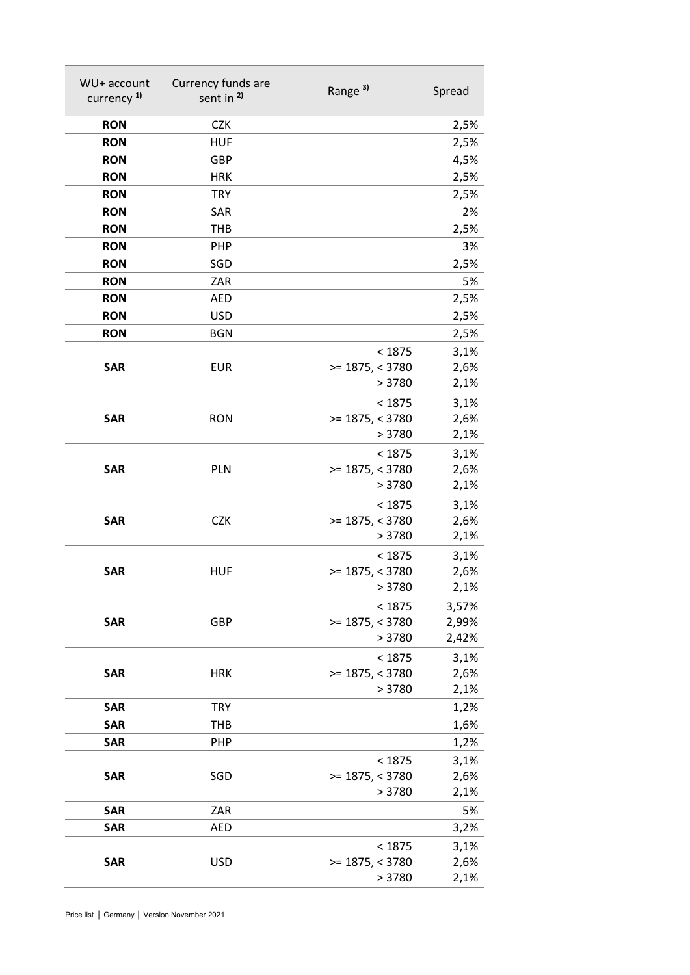| WU+ account<br>currency <sup>1)</sup> | Currency funds are<br>sent in <sup>2)</sup> | Range <sup>3)</sup>         | Spread       |
|---------------------------------------|---------------------------------------------|-----------------------------|--------------|
| <b>RON</b>                            | <b>CZK</b>                                  |                             | 2,5%         |
| <b>RON</b>                            | <b>HUF</b>                                  |                             | 2,5%         |
| <b>RON</b>                            | GBP                                         |                             | 4,5%         |
| <b>RON</b>                            | <b>HRK</b>                                  |                             | 2,5%         |
| <b>RON</b>                            | <b>TRY</b>                                  |                             | 2,5%         |
| <b>RON</b>                            | SAR                                         |                             | 2%           |
| <b>RON</b>                            | <b>THB</b>                                  |                             | 2,5%         |
| <b>RON</b>                            | PHP                                         |                             | 3%           |
| <b>RON</b>                            | SGD                                         |                             | 2,5%         |
| <b>RON</b>                            | ZAR                                         |                             | 5%           |
| <b>RON</b>                            | <b>AED</b>                                  |                             | 2,5%         |
| <b>RON</b>                            | <b>USD</b>                                  |                             | 2,5%         |
| <b>RON</b>                            | <b>BGN</b>                                  |                             | 2,5%         |
|                                       |                                             | < 1875                      | 3,1%         |
| <b>SAR</b>                            | <b>EUR</b>                                  | $>= 1875, < 3780$           | 2,6%         |
|                                       |                                             | > 3780                      | 2,1%         |
|                                       |                                             | < 1875                      | 3,1%         |
| <b>SAR</b>                            | <b>RON</b>                                  | $>= 1875, < 3780$<br>> 3780 | 2,6%<br>2,1% |
|                                       |                                             |                             |              |
| <b>SAR</b>                            | <b>PLN</b>                                  | < 1875<br>$>= 1875, < 3780$ | 3,1%<br>2,6% |
|                                       |                                             | > 3780                      | 2,1%         |
|                                       |                                             | < 1875                      | 3,1%         |
| <b>SAR</b>                            | <b>CZK</b>                                  | $>= 1875, < 3780$           | 2,6%         |
|                                       |                                             | > 3780                      | 2,1%         |
|                                       |                                             | < 1875                      | 3,1%         |
| <b>SAR</b>                            | <b>HUF</b>                                  | $>= 1875, < 3780$           | 2,6%         |
|                                       |                                             | >3780                       | 2,1%         |
|                                       |                                             | < 1875                      | 3,57%        |
| <b>SAR</b>                            | GBP                                         | $>= 1875, < 3780$           | 2,99%        |
|                                       |                                             | > 3780                      | 2,42%        |
|                                       |                                             | < 1875                      | 3,1%         |
| <b>SAR</b>                            | <b>HRK</b>                                  | $>= 1875, < 3780$<br>> 3780 | 2,6%<br>2,1% |
| <b>SAR</b>                            | <b>TRY</b>                                  |                             | 1,2%         |
| <b>SAR</b>                            | <b>THB</b>                                  |                             | 1,6%         |
| <b>SAR</b>                            | <b>PHP</b>                                  |                             | 1,2%         |
|                                       |                                             | < 1875                      | 3,1%         |
| <b>SAR</b>                            | SGD                                         | $>= 1875, < 3780$           | 2,6%         |
|                                       |                                             | > 3780                      | 2,1%         |
| <b>SAR</b>                            | ZAR                                         |                             | 5%           |
| <b>SAR</b>                            | <b>AED</b>                                  |                             | 3,2%         |
|                                       |                                             | < 1875                      | 3,1%         |
| <b>SAR</b>                            | <b>USD</b>                                  | $>= 1875, < 3780$           | 2,6%         |
|                                       |                                             | > 3780                      | 2,1%         |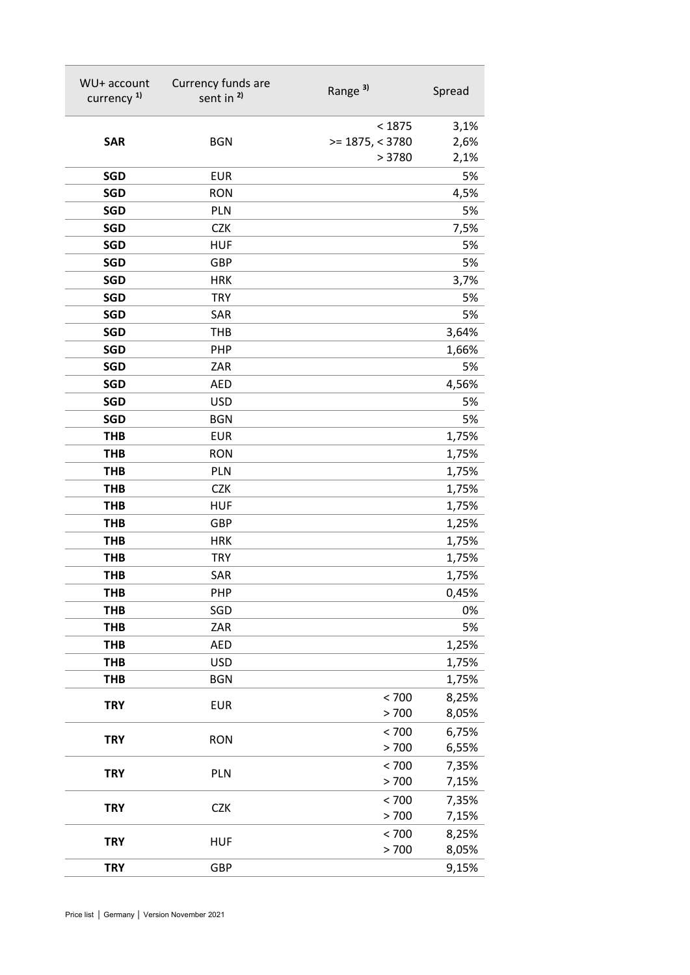| WU+ account<br>currency <sup>1)</sup> | Currency funds are<br>sent in <sup>2)</sup> | Range <sup>3)</sup> | Spread         |
|---------------------------------------|---------------------------------------------|---------------------|----------------|
|                                       |                                             | < 1875              | 3,1%           |
| <b>SAR</b>                            | <b>BGN</b>                                  | $>= 1875, < 3780$   | 2,6%           |
|                                       |                                             | > 3780              | 2,1%           |
| <b>SGD</b>                            | <b>EUR</b>                                  |                     | 5%             |
| <b>SGD</b>                            | <b>RON</b>                                  |                     | 4,5%           |
| <b>SGD</b>                            | PLN                                         |                     | 5%             |
| <b>SGD</b>                            | <b>CZK</b>                                  |                     | 7,5%           |
| <b>SGD</b>                            | <b>HUF</b>                                  |                     | 5%             |
| <b>SGD</b>                            | <b>GBP</b>                                  |                     | 5%             |
| <b>SGD</b>                            | <b>HRK</b>                                  |                     | 3,7%           |
| <b>SGD</b>                            | <b>TRY</b>                                  |                     | 5%             |
| <b>SGD</b>                            | SAR                                         |                     | 5%             |
| <b>SGD</b>                            | THB                                         |                     | 3,64%          |
| <b>SGD</b>                            | <b>PHP</b>                                  |                     | 1,66%          |
| <b>SGD</b>                            | ZAR                                         |                     | 5%             |
| <b>SGD</b>                            | <b>AED</b>                                  |                     | 4,56%          |
| <b>SGD</b>                            | <b>USD</b>                                  |                     | 5%             |
| <b>SGD</b>                            | <b>BGN</b>                                  |                     | 5%             |
| <b>THB</b>                            | <b>EUR</b>                                  |                     | 1,75%          |
| <b>THB</b>                            | <b>RON</b>                                  |                     | 1,75%          |
| <b>THB</b>                            | PLN                                         |                     | 1,75%          |
| <b>THB</b>                            | <b>CZK</b>                                  |                     | 1,75%          |
| <b>THB</b>                            | <b>HUF</b>                                  |                     | 1,75%          |
| <b>THB</b>                            | <b>GBP</b>                                  |                     | 1,25%          |
| <b>THB</b>                            | <b>HRK</b>                                  |                     | 1,75%          |
| <b>THB</b>                            | <b>TRY</b>                                  |                     | 1,75%          |
| <b>THB</b>                            | SAR                                         |                     | 1,75%          |
| <b>THB</b>                            | PHP                                         |                     | 0,45%          |
| <b>THB</b>                            | SGD                                         |                     | 0%             |
| <b>THB</b>                            | ZAR                                         |                     | 5%             |
| <b>THB</b>                            | <b>AED</b>                                  |                     | 1,25%          |
| <b>THB</b>                            | <b>USD</b>                                  |                     | 1,75%          |
| <b>THB</b>                            | <b>BGN</b>                                  |                     | 1,75%          |
| <b>TRY</b>                            | <b>EUR</b>                                  | < 700<br>> 700      | 8,25%<br>8,05% |
|                                       |                                             | < 700               | 6,75%          |
| <b>TRY</b>                            | <b>RON</b>                                  | > 700               | 6,55%          |
|                                       |                                             | < 700               | 7,35%          |
| <b>TRY</b>                            | PLN                                         | > 700               | 7,15%          |
|                                       |                                             | < 700               | 7,35%          |
| <b>TRY</b>                            | <b>CZK</b>                                  | > 700               | 7,15%          |
|                                       |                                             | < 700               | 8,25%          |
| <b>TRY</b>                            | <b>HUF</b>                                  | > 700               | 8,05%          |
| <b>TRY</b>                            | <b>GBP</b>                                  |                     | 9,15%          |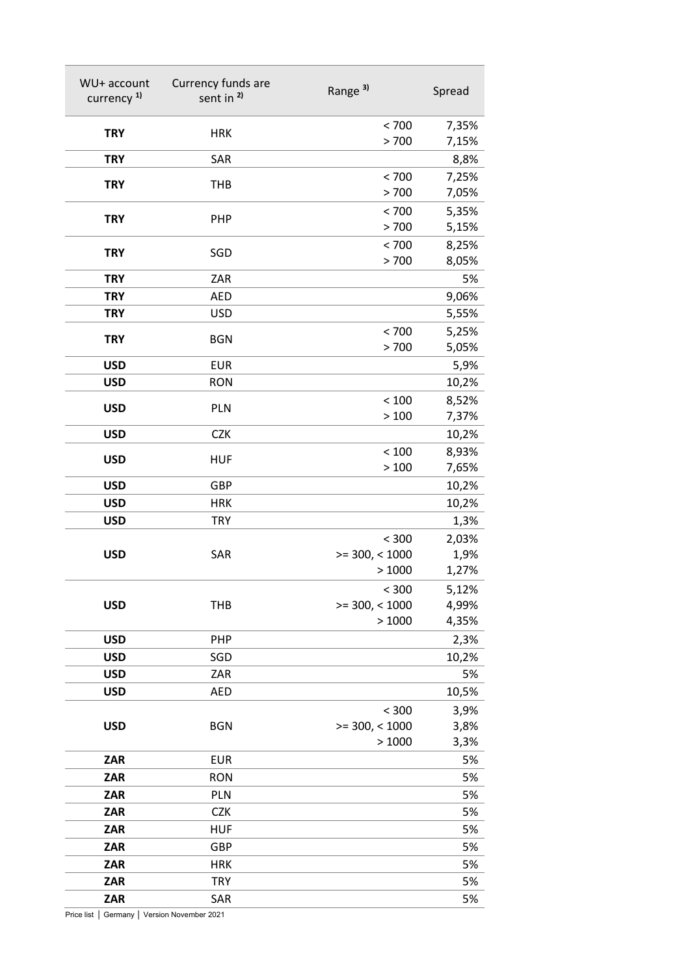| WU+ account<br>currency <sup>1)</sup> | Currency funds are<br>sent in <sup>2)</sup> | Range <sup>3)</sup>       | Spread         |
|---------------------------------------|---------------------------------------------|---------------------------|----------------|
| <b>TRY</b>                            | <b>HRK</b>                                  | < 700<br>> 700            | 7,35%<br>7,15% |
| <b>TRY</b>                            | SAR                                         |                           | 8,8%           |
| <b>TRY</b>                            | <b>THB</b>                                  | < 700                     | 7,25%          |
|                                       |                                             | > 700                     | 7,05%          |
| <b>TRY</b>                            | PHP                                         | < 700                     | 5,35%          |
|                                       |                                             | > 700                     | 5,15%          |
| <b>TRY</b>                            | SGD                                         | < 700                     | 8,25%          |
| <b>TRY</b>                            | ZAR                                         | > 700                     | 8,05%<br>5%    |
| <b>TRY</b>                            | <b>AED</b>                                  |                           | 9,06%          |
| <b>TRY</b>                            | <b>USD</b>                                  |                           | 5,55%          |
|                                       |                                             | < 700                     | 5,25%          |
| <b>TRY</b>                            | <b>BGN</b>                                  | > 700                     | 5,05%          |
| <b>USD</b>                            | <b>EUR</b>                                  |                           | 5,9%           |
| <b>USD</b>                            | <b>RON</b>                                  |                           | 10,2%          |
| <b>USD</b>                            | PLN                                         | $<100$                    | 8,52%          |
|                                       |                                             | >100                      | 7,37%          |
| <b>USD</b>                            | <b>CZK</b>                                  |                           | 10,2%          |
| <b>USD</b>                            | <b>HUF</b>                                  | < 100                     | 8,93%          |
|                                       |                                             | >100                      | 7,65%          |
| <b>USD</b>                            | GBP                                         |                           | 10,2%          |
| <b>USD</b><br><b>USD</b>              | <b>HRK</b><br><b>TRY</b>                    |                           | 10,2%          |
|                                       |                                             | < 300                     | 1,3%<br>2,03%  |
| <b>USD</b>                            | SAR                                         | $>=$ 300, < 1000          | 1,9%           |
|                                       |                                             | >1000                     | 1,27%          |
|                                       |                                             | < 300                     | 5,12%          |
| <b>USD</b>                            | <b>THB</b>                                  | $>=$ 300, < 1000          | 4,99%          |
|                                       |                                             | >1000                     | 4,35%          |
| <b>USD</b>                            | PHP                                         |                           | 2,3%           |
| <b>USD</b>                            | SGD                                         |                           | 10,2%          |
| <b>USD</b>                            | ZAR                                         |                           | 5%             |
| <b>USD</b>                            | <b>AED</b>                                  |                           | 10,5%          |
|                                       |                                             | < 300                     | 3,9%           |
| <b>USD</b>                            | <b>BGN</b>                                  | $>=$ 300, < 1000<br>>1000 | 3,8%<br>3,3%   |
| <b>ZAR</b>                            | <b>EUR</b>                                  |                           | 5%             |
| ZAR                                   | <b>RON</b>                                  |                           | 5%             |
| ZAR                                   | PLN                                         |                           | 5%             |
| ZAR                                   | <b>CZK</b>                                  |                           | 5%             |
| ZAR                                   | <b>HUF</b>                                  |                           | 5%             |
| ZAR                                   | GBP                                         |                           | 5%             |
| ZAR                                   | <b>HRK</b>                                  |                           | 5%             |
| <b>ZAR</b>                            | <b>TRY</b>                                  |                           | 5%             |
| ZAR                                   | SAR                                         |                           | 5%             |